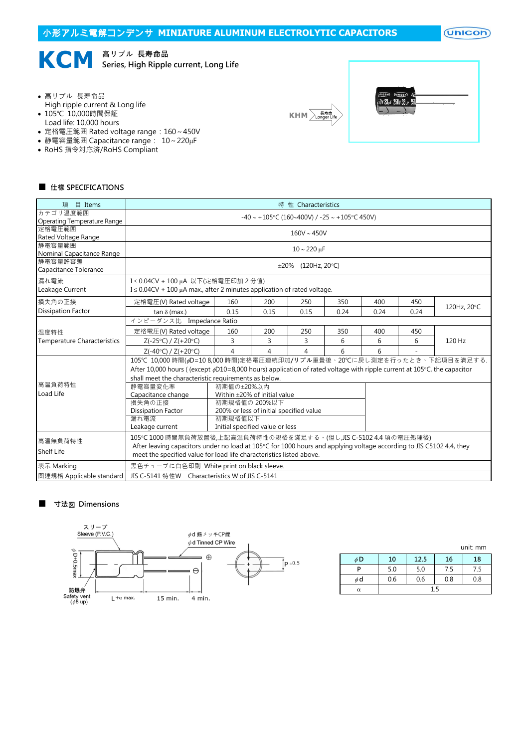$($ Unicon $)$ 



KCM **Series, High Ripple** Series, High Ripple current, Long Life

- 高リプル 長寿命品
- High ripple current & Long life
- 105℃ 10,000時間保証
- Load life: 10,000 hours
- 定格電圧範囲 Rated voltage range:160~450V
- 静電容量範囲 Capacitance range:  $10 \sim 220 \mu F$
- RoHS 指令対応済/RoHS Compliant





## ■ 仕樣 SPECIFICATIONS

| 目 Items<br>項                        | 特 性 Characteristics                                                                                                                                                                   |                                   |      |                          |      |      |      |             |  |
|-------------------------------------|---------------------------------------------------------------------------------------------------------------------------------------------------------------------------------------|-----------------------------------|------|--------------------------|------|------|------|-------------|--|
| カテゴリ温度範囲                            | $-40 \sim +105$ °C (160~400V) / $-25 \sim +105$ °C 450V)                                                                                                                              |                                   |      |                          |      |      |      |             |  |
| <b>Operating Temperature Range</b>  |                                                                                                                                                                                       |                                   |      |                          |      |      |      |             |  |
| 定格電圧範囲                              | $160V \sim 450V$                                                                                                                                                                      |                                   |      |                          |      |      |      |             |  |
| Rated Voltage Range                 |                                                                                                                                                                                       |                                   |      |                          |      |      |      |             |  |
| 静電容量範囲<br>Nominal Capacitance Range |                                                                                                                                                                                       |                                   |      | $10 \sim 220 \,\mu F$    |      |      |      |             |  |
| 静雷容量許容差                             |                                                                                                                                                                                       |                                   |      |                          |      |      |      |             |  |
| Capacitance Tolerance               |                                                                                                                                                                                       |                                   |      | $\pm 20\%$ (120Hz, 20°C) |      |      |      |             |  |
|                                     |                                                                                                                                                                                       |                                   |      |                          |      |      |      |             |  |
| 漏れ電流                                | I≤0.04CV + 100 μA 以下(定格電圧印加 2 分值)                                                                                                                                                     |                                   |      |                          |      |      |      |             |  |
| Leakage Current                     | I ≤ 0.04CV + 100 μA max., after 2 minutes application of rated voltage.                                                                                                               |                                   |      |                          |      |      |      |             |  |
| 損失角の正接                              | 定格電圧(V) Rated voltage                                                                                                                                                                 | 160                               | 200  | 250                      | 350  | 400  | 450  |             |  |
| <b>Dissipation Factor</b>           | tan $\delta$ (max.)                                                                                                                                                                   | 0.15                              | 0.15 | 0.15                     | 0.24 | 0.24 | 0.24 | 120Hz, 20°C |  |
|                                     | インピーダンス比 Impedance Ratio                                                                                                                                                              |                                   |      |                          |      |      |      |             |  |
| 温度特性                                | 定格電圧(V) Rated voltage                                                                                                                                                                 | 160                               | 200  | 250                      | 350  | 400  | 450  |             |  |
| <b>Temperature Characteristics</b>  | $Z(-25°C) / Z(+20°C)$                                                                                                                                                                 | 3                                 | 3    | 3                        | 6    | 6    | 6    | 120 Hz      |  |
|                                     | $Z(-40^{\circ}C) / Z(+20^{\circ}C)$                                                                                                                                                   | $\overline{4}$                    | 4    | 4                        | 6    | 6    |      |             |  |
|                                     | 105℃ 10,000 時間(%D=10 8,000 時間)定格電圧連続印加/リプル重畳後、20℃に戻し測定を行ったとき、下記項目を満足する.                                                                                                               |                                   |      |                          |      |      |      |             |  |
|                                     | After 10,000 hours ((except $\phi$ D10=8,000 hours) application of rated voltage with ripple current at 105°C, the capacitor                                                          |                                   |      |                          |      |      |      |             |  |
|                                     | shall meet the characteristic requirements as below.                                                                                                                                  |                                   |      |                          |      |      |      |             |  |
| 高温負荷特性                              | 静電容量変化率<br>初期值の±20%以内                                                                                                                                                                 |                                   |      |                          |      |      |      |             |  |
| Load Life                           | Capacitance change                                                                                                                                                                    | Within $\pm$ 20% of initial value |      |                          |      |      |      |             |  |
|                                     | 損失角の正接<br>初期規格値の 200%以下                                                                                                                                                               |                                   |      |                          |      |      |      |             |  |
|                                     | 200% or less of initial specified value<br><b>Dissipation Factor</b>                                                                                                                  |                                   |      |                          |      |      |      |             |  |
|                                     | 漏れ電流<br>初期規格值以下                                                                                                                                                                       |                                   |      |                          |      |      |      |             |  |
|                                     | Leakage current                                                                                                                                                                       | Initial specified value or less   |      |                          |      |      |      |             |  |
|                                     |                                                                                                                                                                                       |                                   |      |                          |      |      |      |             |  |
| 高温無負荷特性                             | 105℃1000時間無負荷放置後,上記高温負荷特性の規格を滿足する。(但し,JIS C-5102 4.4 項の電圧処理後)<br>After leaving capacitors under no load at 105°C for 1000 hours and applying voltage according to JIS C5102 4.4, they |                                   |      |                          |      |      |      |             |  |
| Shelf Life                          | meet the specified value for load life characteristics listed above.                                                                                                                  |                                   |      |                          |      |      |      |             |  |
| 表示 Marking                          | 黒色チューブに白色印刷 White print on black sleeve.                                                                                                                                              |                                   |      |                          |      |      |      |             |  |
| 関連規格 Applicable standard            | JIS C-5141 特性W Characteristics W of JIS C-5141                                                                                                                                        |                                   |      |                          |      |      |      |             |  |
|                                     |                                                                                                                                                                                       |                                   |      |                          |      |      |      |             |  |

## ■ 寸法図 Dimensions



|    |     |      |     | unit: mm |  |  |
|----|-----|------|-----|----------|--|--|
| φD | 10  | 12.5 | 16  | 18       |  |  |
| P  | 5.0 | 5.0  | 7.5 | 7.5      |  |  |
| φd | 0.6 | 0.6  | 0.8 | 0.8      |  |  |
| α  | 15  |      |     |          |  |  |